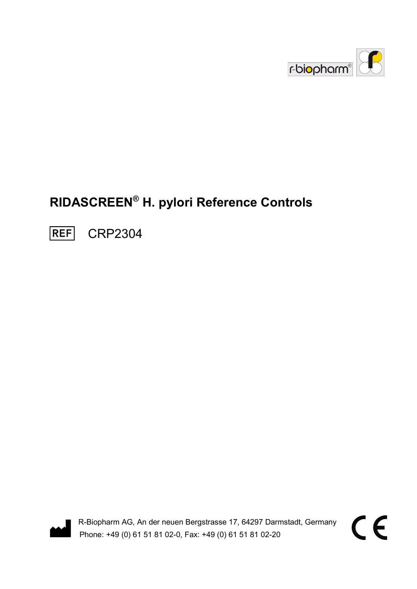

# RIDASCREEN® H. pylori Reference Controls

**REF** CRP2304



R-Biopharm AG, An der neuen Bergstrasse 17, 64297 Darmstadt, Germany Phone: +49 (0) 61 51 81 02-0, Fax: +49 (0) 61 51 81 02-20

 $\epsilon$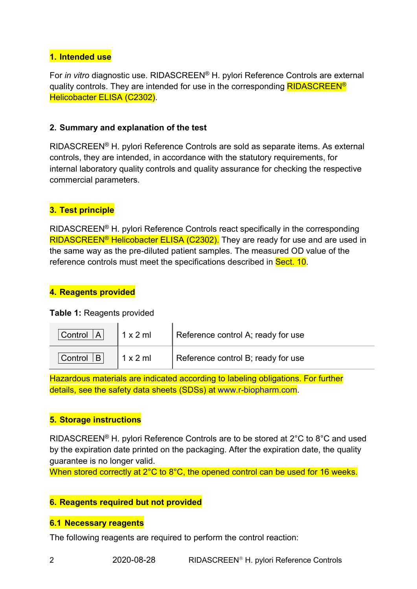# 1. Intended use

For in vitro diagnostic use. RIDASCREEN<sup>®</sup> H. pylori Reference Controls are external quality controls. They are intended for use in the corresponding **RIDASCREEN<sup>®</sup>** Helicobacter ELISA (C2302).

#### 2. Summary and explanation of the test

RIDASCREEN® H. pylori Reference Controls are sold as separate items. As external controls, they are intended, in accordance with the statutory requirements, for internal laboratory quality controls and quality assurance for checking the respective commercial parameters.

# 3. Test principle

RIDASCREEN® H. pylori Reference Controls react specifically in the corresponding RIDASCREEN<sup>®</sup> Helicobacter ELISA (C2302). They are ready for use and are used in the same way as the pre-diluted patient samples. The measured OD value of the reference controls must meet the specifications described in Sect. 10.

#### 4. Reagents provided

#### Table 1: Reagents provided

| Control $ A $ | $1 \times 2$ ml | Reference control A; ready for use |
|---------------|-----------------|------------------------------------|
| Control $ B $ | 1 x 2 m         | Reference control B; ready for use |

Hazardous materials are indicated according to labeling obligations. For further details, see the safety data sheets (SDSs) at www.r-biopharm.com.

## 5. Storage instructions

RIDASCREEN® H. pylori Reference Controls are to be stored at 2°C to 8°C and used by the expiration date printed on the packaging. After the expiration date, the quality guarantee is no longer valid.

When stored correctly at 2°C to 8°C, the opened control can be used for 16 weeks.

## 6. Reagents required but not provided

#### 6.1 Necessary reagents

The following reagents are required to perform the control reaction: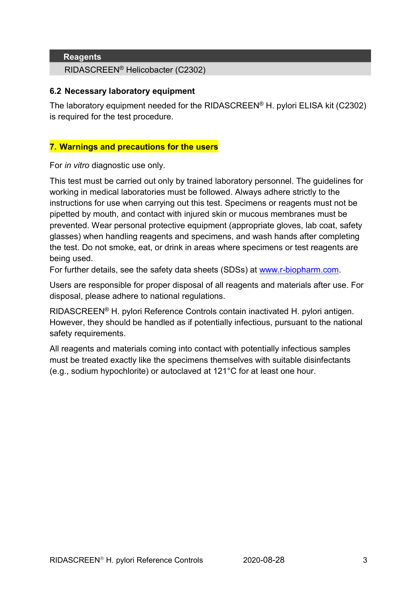#### **Reagents**

RIDASCREEN® Helicobacter (C2302)

#### 6.2 Necessary laboratory equipment

The laboratory equipment needed for the RIDASCREEN® H. pylori ELISA kit (C2302) is required for the test procedure.

#### 7. Warnings and precautions for the users

For in vitro diagnostic use only.

This test must be carried out only by trained laboratory personnel. The guidelines for working in medical laboratories must be followed. Always adhere strictly to the instructions for use when carrying out this test. Specimens or reagents must not be pipetted by mouth, and contact with injured skin or mucous membranes must be prevented. Wear personal protective equipment (appropriate gloves, lab coat, safety glasses) when handling reagents and specimens, and wash hands after completing the test. Do not smoke, eat, or drink in areas where specimens or test reagents are being used.

For further details, see the safety data sheets (SDSs) at www.r-biopharm.com.

Users are responsible for proper disposal of all reagents and materials after use. For disposal, please adhere to national regulations.

RIDASCREEN® H. pylori Reference Controls contain inactivated H. pylori antigen. However, they should be handled as if potentially infectious, pursuant to the national safety requirements.

All reagents and materials coming into contact with potentially infectious samples must be treated exactly like the specimens themselves with suitable disinfectants (e.g., sodium hypochlorite) or autoclaved at 121°C for at least one hour.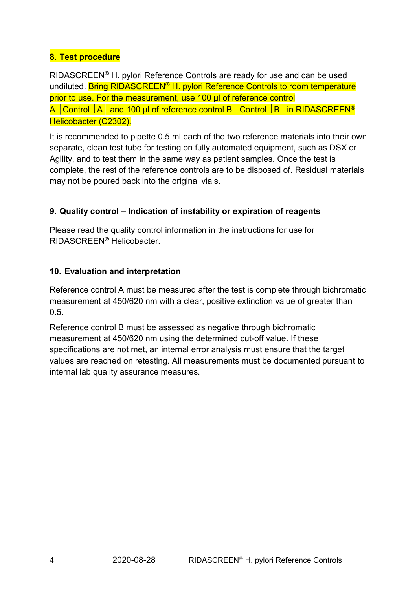# 8. Test procedure

RIDASCREEN® H. pylori Reference Controls are ready for use and can be used undiluted. Bring RIDASCREEN<sup>®</sup> H. pylori Reference Controls to room temperature prior to use. For the measurement, use 100 µl of reference control A Control  $|A|$  and 100 µl of reference control B Control  $|B|$  in RIDASCREEN<sup>®</sup> Helicobacter (C2302).

It is recommended to pipette 0.5 ml each of the two reference materials into their own separate, clean test tube for testing on fully automated equipment, such as DSX or Agility, and to test them in the same way as patient samples. Once the test is complete, the rest of the reference controls are to be disposed of. Residual materials may not be poured back into the original vials.

# 9. Quality control – Indication of instability or expiration of reagents

Please read the quality control information in the instructions for use for RIDASCREEN® Helicobacter.

# 10. Evaluation and interpretation

Reference control A must be measured after the test is complete through bichromatic measurement at 450/620 nm with a clear, positive extinction value of greater than 0.5.

Reference control B must be assessed as negative through bichromatic measurement at 450/620 nm using the determined cut-off value. If these specifications are not met, an internal error analysis must ensure that the target values are reached on retesting. All measurements must be documented pursuant to internal lab quality assurance measures.